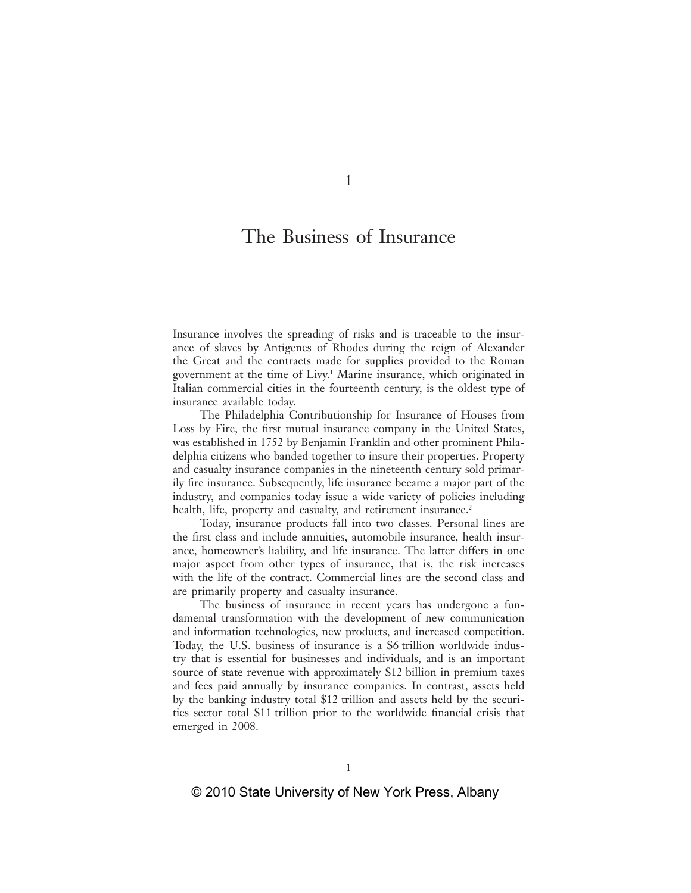# The Business of Insurance

Insurance involves the spreading of risks and is traceable to the insurance of slaves by Antigenes of Rhodes during the reign of Alexander the Great and the contracts made for supplies provided to the Roman government at the time of Livy.1 Marine insurance, which originated in Italian commercial cities in the fourteenth century, is the oldest type of insurance available today.

The Philadelphia Contributionship for Insurance of Houses from Loss by Fire, the first mutual insurance company in the United States, was established in 1752 by Benjamin Franklin and other prominent Philadelphia citizens who banded together to insure their properties. Property and casualty insurance companies in the nineteenth century sold primarily fire insurance. Subsequently, life insurance became a major part of the industry, and companies today issue a wide variety of policies including health, life, property and casualty, and retirement insurance.<sup>2</sup>

Today, insurance products fall into two classes. Personal lines are the first class and include annuities, automobile insurance, health insurance, homeowner's liability, and life insurance. The latter differs in one major aspect from other types of insurance, that is, the risk increases with the life of the contract. Commercial lines are the second class and are primarily property and casualty insurance.

The business of insurance in recent years has undergone a fundamental transformation with the development of new communication and information technologies, new products, and increased competition. Today, the U.S. business of insurance is a \$6 trillion worldwide industry that is essential for businesses and individuals, and is an important source of state revenue with approximately \$12 billion in premium taxes and fees paid annually by insurance companies. In contrast, assets held by the banking industry total \$12 trillion and assets held by the securities sector total \$11 trillion prior to the worldwide financial crisis that emerged in 2008.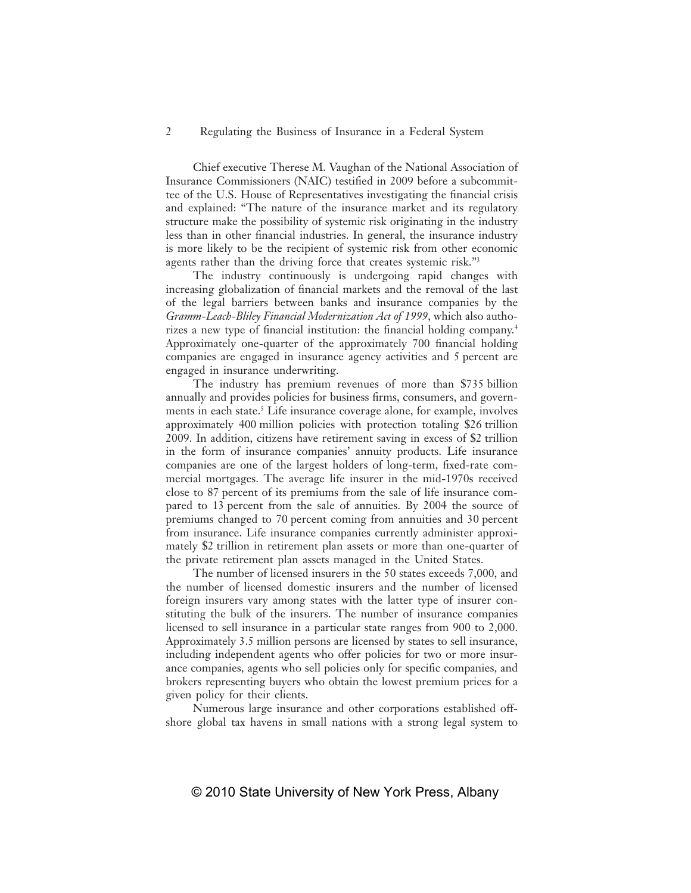Chief executive Therese M. Vaughan of the National Association of Insurance Commissioners (NAIC) testified in 2009 before a subcommittee of the U.S. House of Representatives investigating the financial crisis and explained: "The nature of the insurance market and its regulatory structure make the possibility of systemic risk originating in the industry less than in other financial industries. In general, the insurance industry is more likely to be the recipient of systemic risk from other economic agents rather than the driving force that creates systemic risk."<sup>3</sup>

The industry continuously is undergoing rapid changes with increasing globalization of financial markets and the removal of the last of the legal barriers between banks and insurance companies by the *Gramm-Leach-Bliley Financial Modernization Act of 1999*, which also authorizes a new type of financial institution: the financial holding company.<sup>4</sup> Approximately one-quarter of the approximately 700 financial holding companies are engaged in insurance agency activities and 5 percent are engaged in insurance underwriting.

The industry has premium revenues of more than \$735 billion annually and provides policies for business firms, consumers, and governments in each state.<sup>5</sup> Life insurance coverage alone, for example, involves approximately 400 million policies with protection totaling \$26 trillion 2009. In addition, citizens have retirement saving in excess of \$2 trillion in the form of insurance companies' annuity products. Life insurance companies are one of the largest holders of long-term, fixed-rate commercial mortgages. The average life insurer in the mid-1970s received close to 87 percent of its premiums from the sale of life insurance compared to 13 percent from the sale of annuities. By 2004 the source of premiums changed to 70 percent coming from annuities and 30 percent from insurance. Life insurance companies currently administer approximately \$2 trillion in retirement plan assets or more than one-quarter of the private retirement plan assets managed in the United States.

The number of licensed insurers in the 50 states exceeds 7,000, and the number of licensed domestic insurers and the number of licensed foreign insurers vary among states with the latter type of insurer constituting the bulk of the insurers. The number of insurance companies licensed to sell insurance in a particular state ranges from 900 to 2,000. Approximately 3.5 million persons are licensed by states to sell insurance, including independent agents who offer policies for two or more insurance companies, agents who sell policies only for specific companies, and brokers representing buyers who obtain the lowest premium prices for a given policy for their clients.

Numerous large insurance and other corporations established offshore global tax havens in small nations with a strong legal system to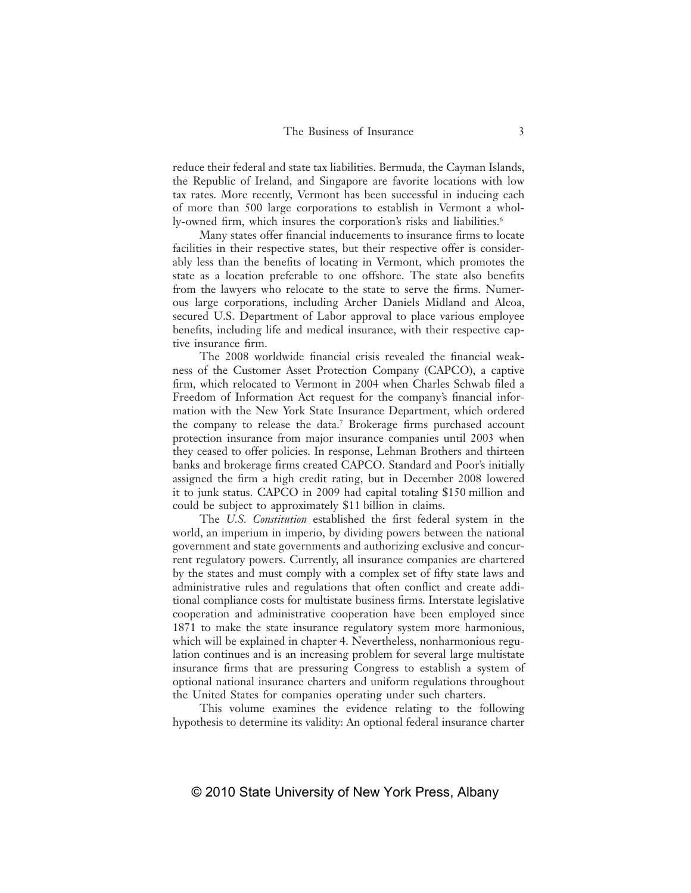reduce their federal and state tax liabilities. Bermuda, the Cayman Islands, the Republic of Ireland, and Singapore are favorite locations with low tax rates. More recently, Vermont has been successful in inducing each of more than 500 large corporations to establish in Vermont a wholly-owned firm, which insures the corporation's risks and liabilities.<sup>6</sup>

Many states offer financial inducements to insurance firms to locate facilities in their respective states, but their respective offer is considerably less than the benefits of locating in Vermont, which promotes the state as a location preferable to one offshore. The state also benefits from the lawyers who relocate to the state to serve the firms. Numerous large corporations, including Archer Daniels Midland and Alcoa, secured U.S. Department of Labor approval to place various employee benefits, including life and medical insurance, with their respective captive insurance firm.

The 2008 worldwide financial crisis revealed the financial weakness of the Customer Asset Protection Company (CAPCO), a captive firm, which relocated to Vermont in 2004 when Charles Schwab filed a Freedom of Information Act request for the company's financial information with the New York State Insurance Department, which ordered the company to release the data.<sup>7</sup> Brokerage firms purchased account protection insurance from major insurance companies until 2003 when they ceased to offer policies. In response, Lehman Brothers and thirteen banks and brokerage firms created CAPCO. Standard and Poor's initially assigned the firm a high credit rating, but in December 2008 lowered it to junk status. CAPCO in 2009 had capital totaling \$150 million and could be subject to approximately \$11 billion in claims.

The *U.S. Constitution* established the first federal system in the world, an imperium in imperio, by dividing powers between the national government and state governments and authorizing exclusive and concurrent regulatory powers. Currently, all insurance companies are chartered by the states and must comply with a complex set of fifty state laws and administrative rules and regulations that often conflict and create additional compliance costs for multistate business firms. Interstate legislative cooperation and administrative cooperation have been employed since 1871 to make the state insurance regulatory system more harmonious, which will be explained in chapter 4. Nevertheless, nonharmonious regulation continues and is an increasing problem for several large multistate insurance firms that are pressuring Congress to establish a system of optional national insurance charters and uniform regulations throughout the United States for companies operating under such charters.

This volume examines the evidence relating to the following hypothesis to determine its validity: An optional federal insurance charter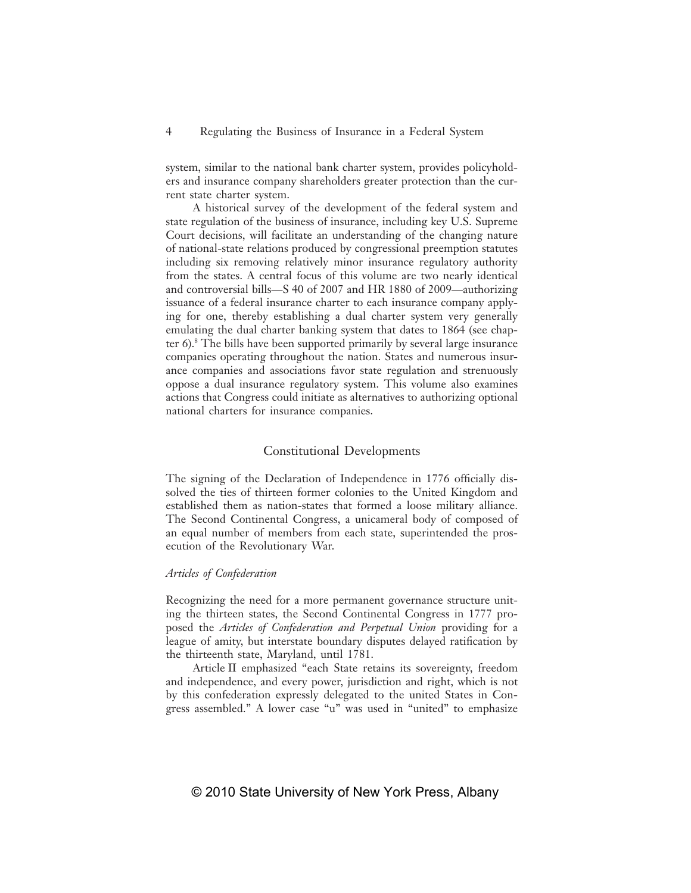system, similar to the national bank charter system, provides policyholders and insurance company shareholders greater protection than the current state charter system.

A historical survey of the development of the federal system and state regulation of the business of insurance, including key U.S. Supreme Court decisions, will facilitate an understanding of the changing nature of national-state relations produced by congressional preemption statutes including six removing relatively minor insurance regulatory authority from the states. A central focus of this volume are two nearly identical and controversial bills—S 40 of 2007 and HR 1880 of 2009—authorizing issuance of a federal insurance charter to each insurance company applying for one, thereby establishing a dual charter system very generally emulating the dual charter banking system that dates to 1864 (see chapter 6).8 The bills have been supported primarily by several large insurance companies operating throughout the nation. States and numerous insurance companies and associations favor state regulation and strenuously oppose a dual insurance regulatory system. This volume also examines actions that Congress could initiate as alternatives to authorizing optional national charters for insurance companies.

# Constitutional Developments

The signing of the Declaration of Independence in 1776 officially dissolved the ties of thirteen former colonies to the United Kingdom and established them as nation-states that formed a loose military alliance. The Second Continental Congress, a unicameral body of composed of an equal number of members from each state, superintended the prosecution of the Revolutionary War.

# *Articles of Confederation*

Recognizing the need for a more permanent governance structure uniting the thirteen states, the Second Continental Congress in 1777 proposed the *Articles of Confederation and Perpetual Union* providing for a league of amity, but interstate boundary disputes delayed ratification by the thirteenth state, Maryland, until 1781.

Article II emphasized "each State retains its sovereignty, freedom and independence, and every power, jurisdiction and right, which is not by this confederation expressly delegated to the united States in Congress assembled." A lower case "u" was used in "united" to emphasize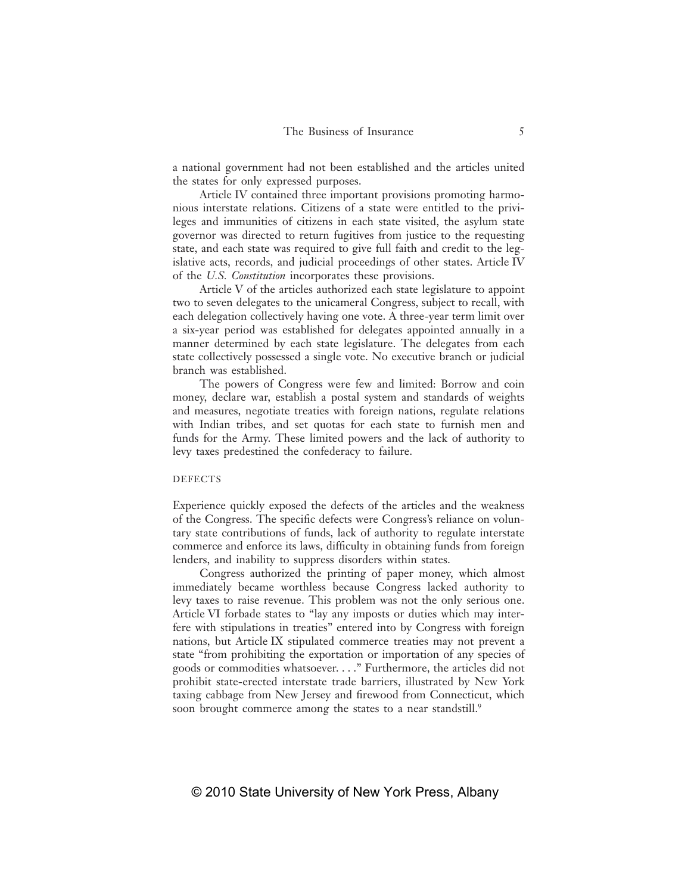a national government had not been established and the articles united the states for only expressed purposes.

Article IV contained three important provisions promoting harmonious interstate relations. Citizens of a state were entitled to the privileges and immunities of citizens in each state visited, the asylum state governor was directed to return fugitives from justice to the requesting state, and each state was required to give full faith and credit to the legislative acts, records, and judicial proceedings of other states. Article IV of the *U.S. Constitution* incorporates these provisions.

Article V of the articles authorized each state legislature to appoint two to seven delegates to the unicameral Congress, subject to recall, with each delegation collectively having one vote. A three-year term limit over a six-year period was established for delegates appointed annually in a manner determined by each state legislature. The delegates from each state collectively possessed a single vote. No executive branch or judicial branch was established.

The powers of Congress were few and limited: Borrow and coin money, declare war, establish a postal system and standards of weights and measures, negotiate treaties with foreign nations, regulate relations with Indian tribes, and set quotas for each state to furnish men and funds for the Army. These limited powers and the lack of authority to levy taxes predestined the confederacy to failure.

#### DEFECTS

Experience quickly exposed the defects of the articles and the weakness of the Congress. The specific defects were Congress's reliance on voluntary state contributions of funds, lack of authority to regulate interstate commerce and enforce its laws, difficulty in obtaining funds from foreign lenders, and inability to suppress disorders within states.

Congress authorized the printing of paper money, which almost immediately became worthless because Congress lacked authority to levy taxes to raise revenue. This problem was not the only serious one. Article VI forbade states to "lay any imposts or duties which may interfere with stipulations in treaties" entered into by Congress with foreign nations, but Article IX stipulated commerce treaties may not prevent a state "from prohibiting the exportation or importation of any species of goods or commodities whatsoever. . . ." Furthermore, the articles did not prohibit state-erected interstate trade barriers, illustrated by New York taxing cabbage from New Jersey and firewood from Connecticut, which soon brought commerce among the states to a near standstill.<sup>9</sup>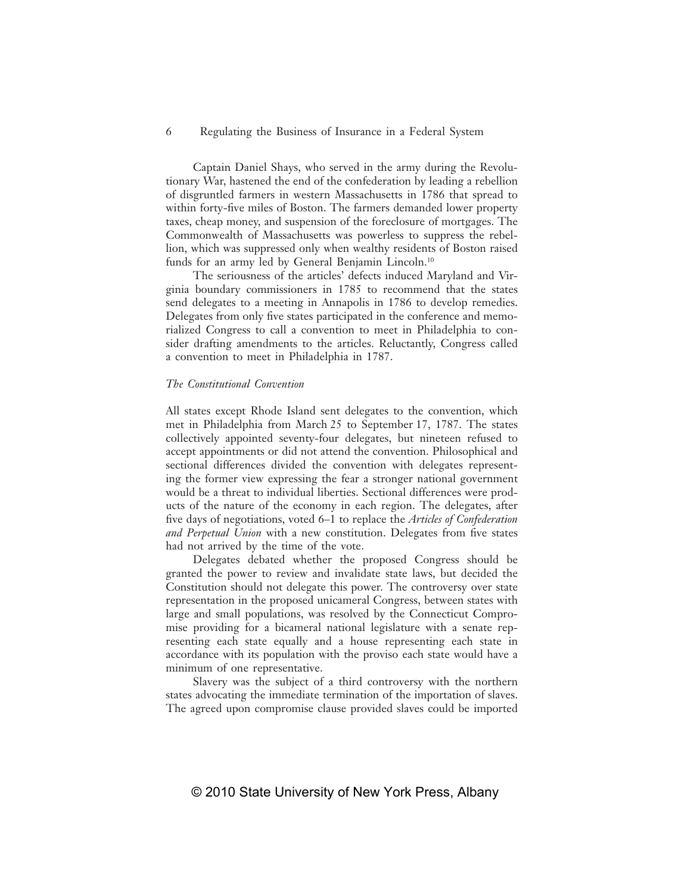Captain Daniel Shays, who served in the army during the Revolutionary War, hastened the end of the confederation by leading a rebellion of disgruntled farmers in western Massachusetts in 1786 that spread to within forty-five miles of Boston. The farmers demanded lower property taxes, cheap money, and suspension of the foreclosure of mortgages. The Commonwealth of Massachusetts was powerless to suppress the rebellion, which was suppressed only when wealthy residents of Boston raised funds for an army led by General Benjamin Lincoln.<sup>10</sup>

The seriousness of the articles' defects induced Maryland and Virginia boundary commissioners in 1785 to recommend that the states send delegates to a meeting in Annapolis in 1786 to develop remedies. Delegates from only five states participated in the conference and memorialized Congress to call a convention to meet in Philadelphia to consider drafting amendments to the articles. Reluctantly, Congress called a convention to meet in Philadelphia in 1787.

#### *The Constitutional Convention*

All states except Rhode Island sent delegates to the convention, which met in Philadelphia from March 25 to September 17, 1787. The states collectively appointed seventy-four delegates, but nineteen refused to accept appointments or did not attend the convention. Philosophical and sectional differences divided the convention with delegates representing the former view expressing the fear a stronger national government would be a threat to individual liberties. Sectional differences were products of the nature of the economy in each region. The delegates, after five days of negotiations, voted 6–1 to replace the *Articles of Confederation and Perpetual Union* with a new constitution. Delegates from five states had not arrived by the time of the vote.

Delegates debated whether the proposed Congress should be granted the power to review and invalidate state laws, but decided the Constitution should not delegate this power. The controversy over state representation in the proposed unicameral Congress, between states with large and small populations, was resolved by the Connecticut Compromise providing for a bicameral national legislature with a senate representing each state equally and a house representing each state in accordance with its population with the proviso each state would have a minimum of one representative.

Slavery was the subject of a third controversy with the northern states advocating the immediate termination of the importation of slaves. The agreed upon compromise clause provided slaves could be imported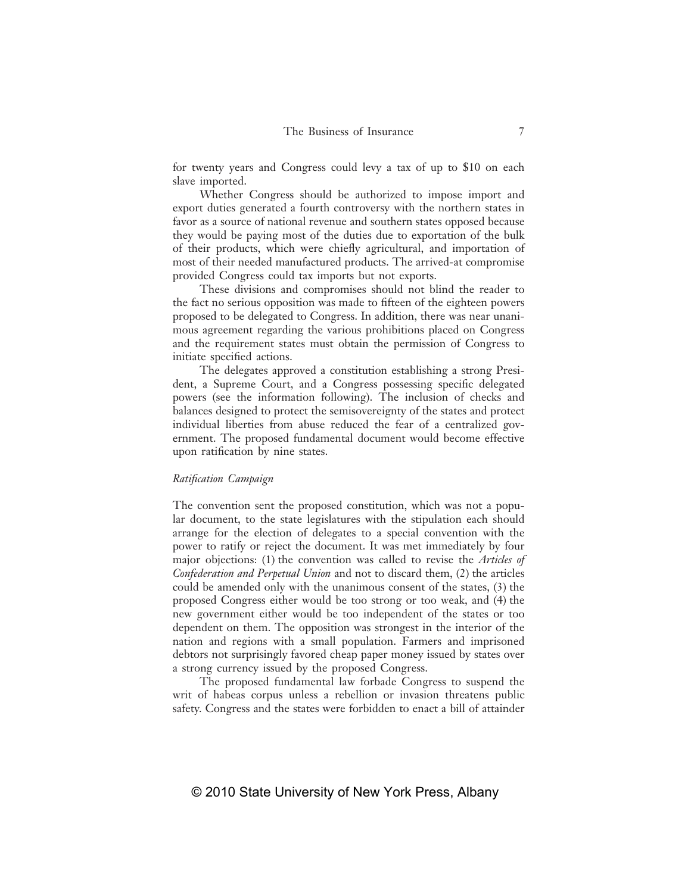for twenty years and Congress could levy a tax of up to \$10 on each slave imported.

Whether Congress should be authorized to impose import and export duties generated a fourth controversy with the northern states in favor as a source of national revenue and southern states opposed because they would be paying most of the duties due to exportation of the bulk of their products, which were chiefly agricultural, and importation of most of their needed manufactured products. The arrived-at compromise provided Congress could tax imports but not exports.

These divisions and compromises should not blind the reader to the fact no serious opposition was made to fifteen of the eighteen powers proposed to be delegated to Congress. In addition, there was near unanimous agreement regarding the various prohibitions placed on Congress and the requirement states must obtain the permission of Congress to initiate specified actions.

The delegates approved a constitution establishing a strong President, a Supreme Court, and a Congress possessing specific delegated powers (see the information following). The inclusion of checks and balances designed to protect the semisovereignty of the states and protect individual liberties from abuse reduced the fear of a centralized government. The proposed fundamental document would become effective upon ratification by nine states.

# *Ratifi cation Campaign*

The convention sent the proposed constitution, which was not a popular document, to the state legislatures with the stipulation each should arrange for the election of delegates to a special convention with the power to ratify or reject the document. It was met immediately by four major objections: (1) the convention was called to revise the *Articles of Confederation and Perpetual Union* and not to discard them, (2) the articles could be amended only with the unanimous consent of the states, (3) the proposed Congress either would be too strong or too weak, and (4) the new government either would be too independent of the states or too dependent on them. The opposition was strongest in the interior of the nation and regions with a small population. Farmers and imprisoned debtors not surprisingly favored cheap paper money issued by states over a strong currency issued by the proposed Congress.

The proposed fundamental law forbade Congress to suspend the writ of habeas corpus unless a rebellion or invasion threatens public safety. Congress and the states were forbidden to enact a bill of attainder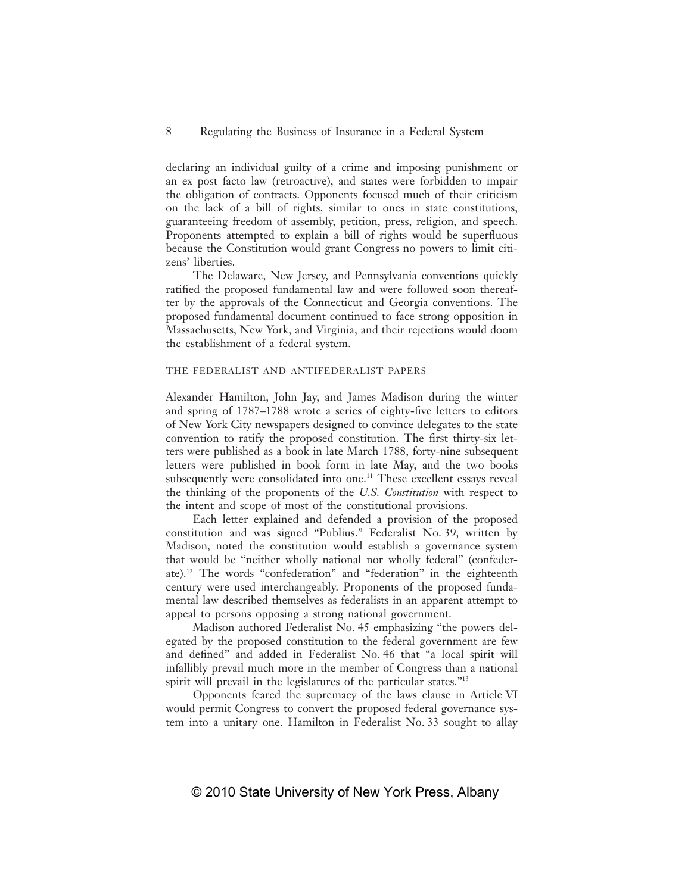declaring an individual guilty of a crime and imposing punishment or an ex post facto law (retroactive), and states were forbidden to impair the obligation of contracts. Opponents focused much of their criticism on the lack of a bill of rights, similar to ones in state constitutions, guaranteeing freedom of assembly, petition, press, religion, and speech. Proponents attempted to explain a bill of rights would be superfluous because the Constitution would grant Congress no powers to limit citizens' liberties.

The Delaware, New Jersey, and Pennsylvania conventions quickly ratified the proposed fundamental law and were followed soon thereafter by the approvals of the Connecticut and Georgia conventions. The proposed fundamental document continued to face strong opposition in Massachusetts, New York, and Virginia, and their rejections would doom the establishment of a federal system.

#### THE FEDERALIST AND ANTIFEDERALIST PAPERS

Alexander Hamilton, John Jay, and James Madison during the winter and spring of 1787–1788 wrote a series of eighty-five letters to editors of New York City newspapers designed to convince delegates to the state convention to ratify the proposed constitution. The first thirty-six letters were published as a book in late March 1788, forty-nine subsequent letters were published in book form in late May, and the two books subsequently were consolidated into one.<sup>11</sup> These excellent essays reveal the thinking of the proponents of the *U.S. Constitution* with respect to the intent and scope of most of the constitutional provisions.

Each letter explained and defended a provision of the proposed constitution and was signed "Publius." Federalist No. 39, written by Madison, noted the constitution would establish a governance system that would be "neither wholly national nor wholly federal" (confederate).12 The words "confederation" and "federation" in the eighteenth century were used interchangeably. Proponents of the proposed fundamental law described themselves as federalists in an apparent attempt to appeal to persons opposing a strong national government.

Madison authored Federalist No. 45 emphasizing "the powers delegated by the proposed constitution to the federal government are few and defined" and added in Federalist No. 46 that "a local spirit will infallibly prevail much more in the member of Congress than a national spirit will prevail in the legislatures of the particular states."<sup>13</sup>

Opponents feared the supremacy of the laws clause in Article VI would permit Congress to convert the proposed federal governance system into a unitary one. Hamilton in Federalist No. 33 sought to allay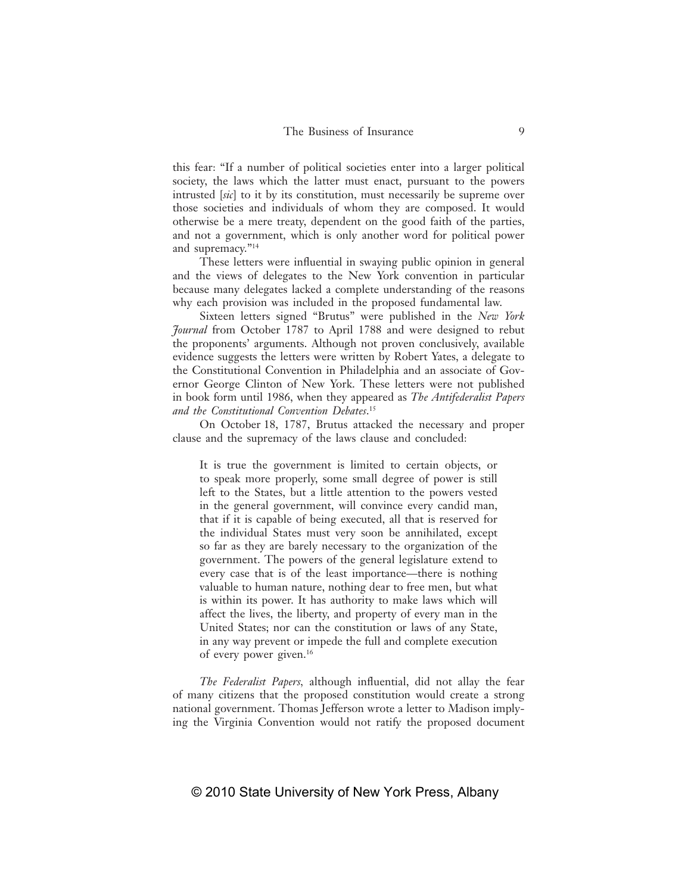this fear: "If a number of political societies enter into a larger political society, the laws which the latter must enact, pursuant to the powers intrusted [*sic*] to it by its constitution, must necessarily be supreme over those societies and individuals of whom they are composed. It would otherwise be a mere treaty, dependent on the good faith of the parties, and not a government, which is only another word for political power and supremacy."14

These letters were influential in swaying public opinion in general and the views of delegates to the New York convention in particular because many delegates lacked a complete understanding of the reasons why each provision was included in the proposed fundamental law.

Sixteen letters signed "Brutus" were published in the *New York Journal* from October 1787 to April 1788 and were designed to rebut the proponents' arguments. Although not proven conclusively, available evidence suggests the letters were written by Robert Yates, a delegate to the Constitutional Convention in Philadelphia and an associate of Governor George Clinton of New York. These letters were not published in book form until 1986, when they appeared as *The Antifederalist Papers and the Constitutional Convention Debates*. 15

On October 18, 1787, Brutus attacked the necessary and proper clause and the supremacy of the laws clause and concluded:

It is true the government is limited to certain objects, or to speak more properly, some small degree of power is still left to the States, but a little attention to the powers vested in the general government, will convince every candid man, that if it is capable of being executed, all that is reserved for the individual States must very soon be annihilated, except so far as they are barely necessary to the organization of the government. The powers of the general legislature extend to every case that is of the least importance—there is nothing valuable to human nature, nothing dear to free men, but what is within its power. It has authority to make laws which will affect the lives, the liberty, and property of every man in the United States; nor can the constitution or laws of any State, in any way prevent or impede the full and complete execution of every power given.16

*The Federalist Papers*, although influential, did not allay the fear of many citizens that the proposed constitution would create a strong national government. Thomas Jefferson wrote a letter to Madison implying the Virginia Convention would not ratify the proposed document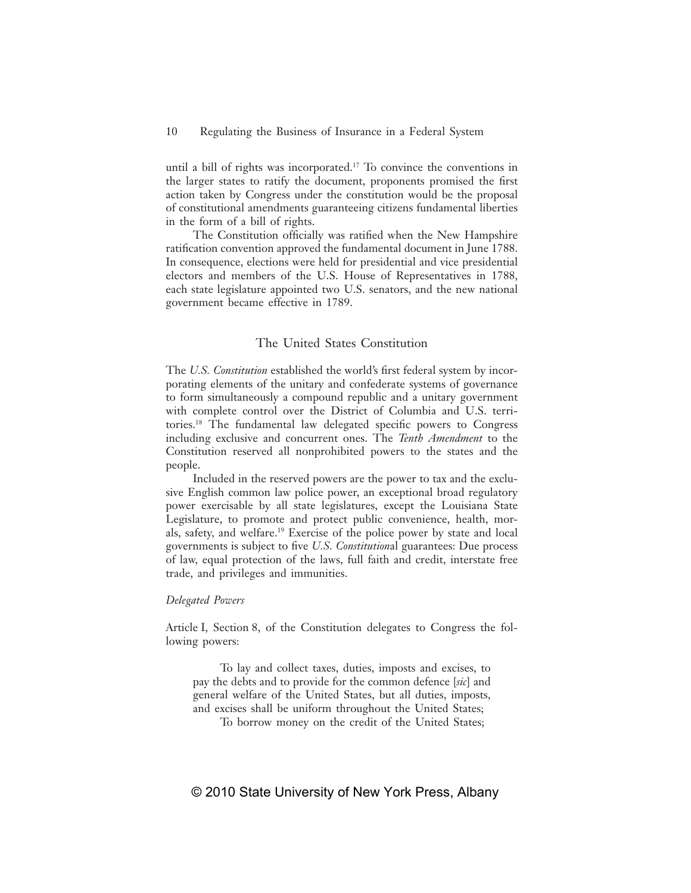until a bill of rights was incorporated.17 To convince the conventions in the larger states to ratify the document, proponents promised the first action taken by Congress under the constitution would be the proposal of constitutional amendments guaranteeing citizens fundamental liberties in the form of a bill of rights.

The Constitution officially was ratified when the New Hampshire ratification convention approved the fundamental document in June 1788. In consequence, elections were held for presidential and vice presidential electors and members of the U.S. House of Representatives in 1788, each state legislature appointed two U.S. senators, and the new national government became effective in 1789.

# The United States Constitution

The *U.S. Constitution* established the world's first federal system by incorporating elements of the unitary and confederate systems of governance to form simultaneously a compound republic and a unitary government with complete control over the District of Columbia and U.S. territories.<sup>18</sup> The fundamental law delegated specific powers to Congress including exclusive and concurrent ones. The *Tenth Amendment* to the Constitution reserved all nonprohibited powers to the states and the people.

Included in the reserved powers are the power to tax and the exclusive English common law police power, an exceptional broad regulatory power exercisable by all state legislatures, except the Louisiana State Legislature, to promote and protect public convenience, health, morals, safety, and welfare.19 Exercise of the police power by state and local governments is subject to five *U.S. Constitutional* guarantees: Due process of law, equal protection of the laws, full faith and credit, interstate free trade, and privileges and immunities.

# *Delegated Powers*

Article I, Section 8, of the Constitution delegates to Congress the following powers:

To lay and collect taxes, duties, imposts and excises, to pay the debts and to provide for the common defence [*sic*] and general welfare of the United States, but all duties, imposts, and excises shall be uniform throughout the United States;

To borrow money on the credit of the United States;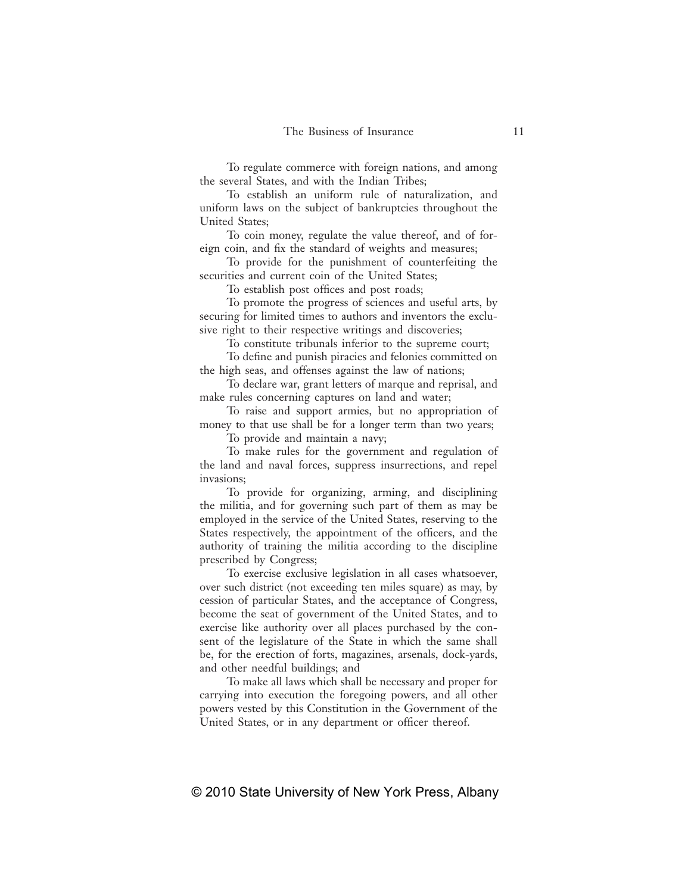To regulate commerce with foreign nations, and among the several States, and with the Indian Tribes;

To establish an uniform rule of naturalization, and uniform laws on the subject of bankruptcies throughout the United States;

To coin money, regulate the value thereof, and of foreign coin, and fix the standard of weights and measures;

To provide for the punishment of counterfeiting the securities and current coin of the United States;

To establish post offices and post roads;

To promote the progress of sciences and useful arts, by securing for limited times to authors and inventors the exclusive right to their respective writings and discoveries;

To constitute tribunals inferior to the supreme court;

To define and punish piracies and felonies committed on the high seas, and offenses against the law of nations;

To declare war, grant letters of marque and reprisal, and make rules concerning captures on land and water;

To raise and support armies, but no appropriation of money to that use shall be for a longer term than two years;

To provide and maintain a navy;

To make rules for the government and regulation of the land and naval forces, suppress insurrections, and repel invasions;

To provide for organizing, arming, and disciplining the militia, and for governing such part of them as may be employed in the service of the United States, reserving to the States respectively, the appointment of the officers, and the authority of training the militia according to the discipline prescribed by Congress;

To exercise exclusive legislation in all cases whatsoever, over such district (not exceeding ten miles square) as may, by cession of particular States, and the acceptance of Congress, become the seat of government of the United States, and to exercise like authority over all places purchased by the consent of the legislature of the State in which the same shall be, for the erection of forts, magazines, arsenals, dock-yards, and other needful buildings; and

To make all laws which shall be necessary and proper for carrying into execution the foregoing powers, and all other powers vested by this Constitution in the Government of the United States, or in any department or officer thereof.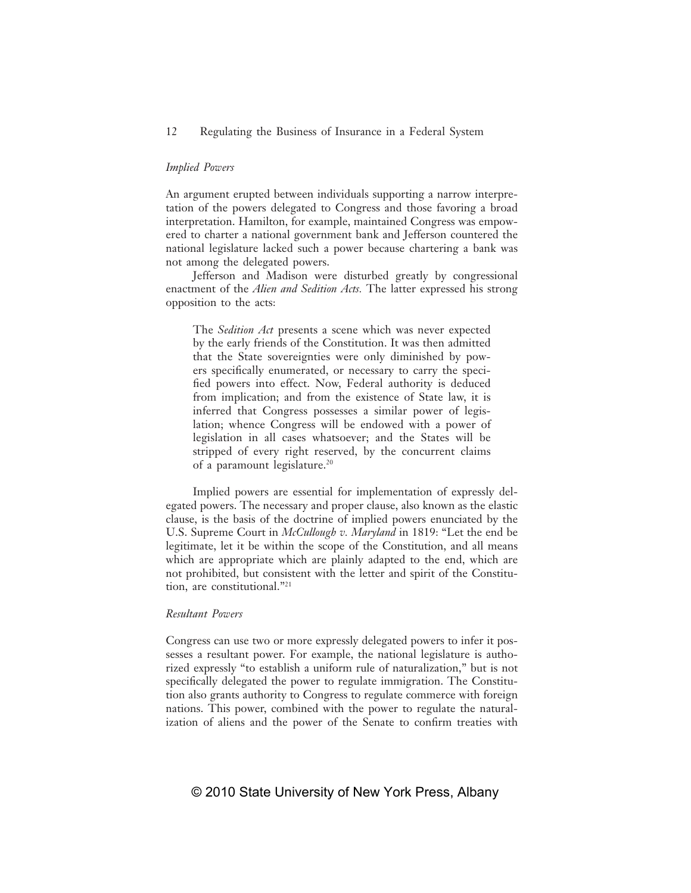# *Implied Powers*

An argument erupted between individuals supporting a narrow interpretation of the powers delegated to Congress and those favoring a broad interpretation. Hamilton, for example, maintained Congress was empowered to charter a national government bank and Jefferson countered the national legislature lacked such a power because chartering a bank was not among the delegated powers.

Jefferson and Madison were disturbed greatly by congressional enactment of the *Alien and Sedition Acts.* The latter expressed his strong opposition to the acts:

The *Sedition Act* presents a scene which was never expected by the early friends of the Constitution. It was then admitted that the State sovereignties were only diminished by powers specifically enumerated, or necessary to carry the specified powers into effect. Now, Federal authority is deduced from implication; and from the existence of State law, it is inferred that Congress possesses a similar power of legislation; whence Congress will be endowed with a power of legislation in all cases whatsoever; and the States will be stripped of every right reserved, by the concurrent claims of a paramount legislature.20

Implied powers are essential for implementation of expressly delegated powers. The necessary and proper clause, also known as the elastic clause, is the basis of the doctrine of implied powers enunciated by the U.S. Supreme Court in *McCullough v. Maryland* in 1819: "Let the end be legitimate, let it be within the scope of the Constitution, and all means which are appropriate which are plainly adapted to the end, which are not prohibited, but consistent with the letter and spirit of the Constitution, are constitutional."21

## *Resultant Powers*

Congress can use two or more expressly delegated powers to infer it possesses a resultant power. For example, the national legislature is authorized expressly "to establish a uniform rule of naturalization," but is not specifically delegated the power to regulate immigration. The Constitution also grants authority to Congress to regulate commerce with foreign nations. This power, combined with the power to regulate the naturalization of aliens and the power of the Senate to confirm treaties with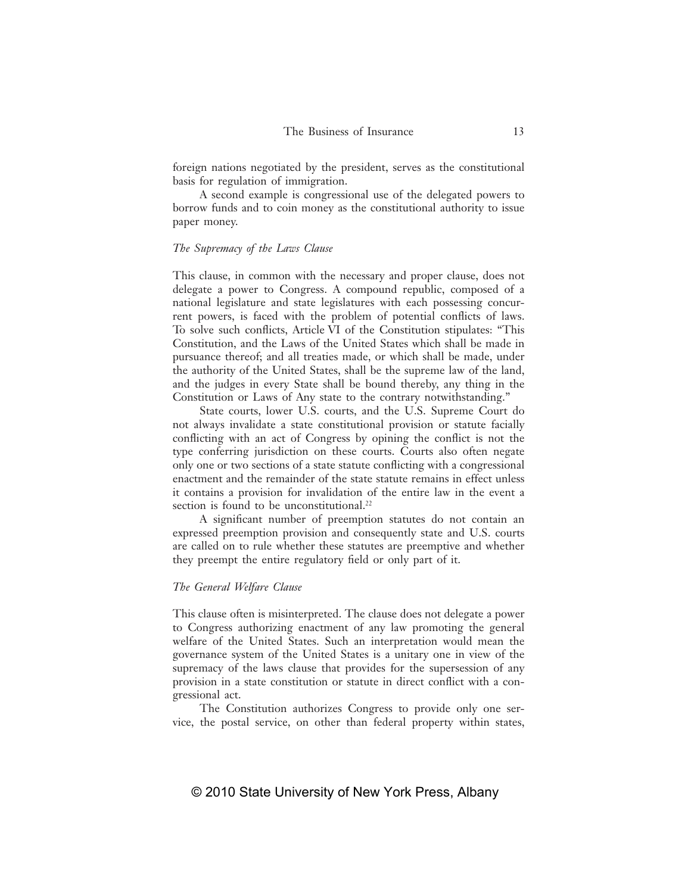foreign nations negotiated by the president, serves as the constitutional basis for regulation of immigration.

A second example is congressional use of the delegated powers to borrow funds and to coin money as the constitutional authority to issue paper money.

# *The Supremacy of the Laws Clause*

This clause, in common with the necessary and proper clause, does not delegate a power to Congress. A compound republic, composed of a national legislature and state legislatures with each possessing concurrent powers, is faced with the problem of potential conflicts of laws. To solve such conflicts, Article VI of the Constitution stipulates: "This Constitution, and the Laws of the United States which shall be made in pursuance thereof; and all treaties made, or which shall be made, under the authority of the United States, shall be the supreme law of the land, and the judges in every State shall be bound thereby, any thing in the Constitution or Laws of Any state to the contrary notwithstanding."

State courts, lower U.S. courts, and the U.S. Supreme Court do not always invalidate a state constitutional provision or statute facially conflicting with an act of Congress by opining the conflict is not the type conferring jurisdiction on these courts. Courts also often negate only one or two sections of a state statute conflicting with a congressional enactment and the remainder of the state statute remains in effect unless it contains a provision for invalidation of the entire law in the event a section is found to be unconstitutional.<sup>22</sup>

A significant number of preemption statutes do not contain an expressed preemption provision and consequently state and U.S. courts are called on to rule whether these statutes are preemptive and whether they preempt the entire regulatory field or only part of it.

# *The General Welfare Clause*

This clause often is misinterpreted. The clause does not delegate a power to Congress authorizing enactment of any law promoting the general welfare of the United States. Such an interpretation would mean the governance system of the United States is a unitary one in view of the supremacy of the laws clause that provides for the supersession of any provision in a state constitution or statute in direct conflict with a congressional act.

The Constitution authorizes Congress to provide only one service, the postal service, on other than federal property within states,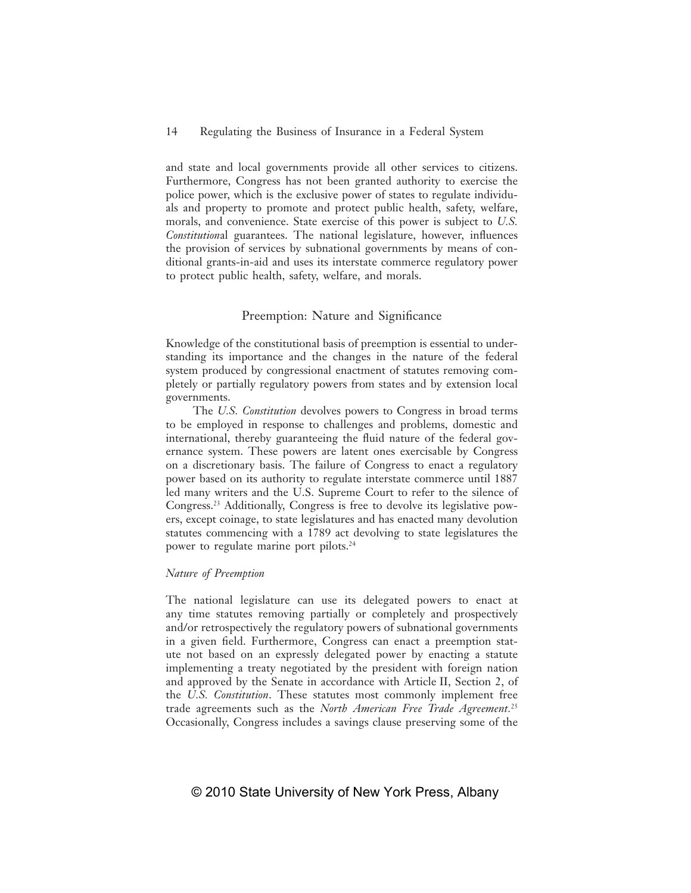and state and local governments provide all other services to citizens. Furthermore, Congress has not been granted authority to exercise the police power, which is the exclusive power of states to regulate individuals and property to promote and protect public health, safety, welfare, morals, and convenience. State exercise of this power is subject to *U.S. Constitutional* guarantees. The national legislature, however, influences the provision of services by subnational governments by means of conditional grants-in-aid and uses its interstate commerce regulatory power to protect public health, safety, welfare, and morals.

# Preemption: Nature and Significance

Knowledge of the constitutional basis of preemption is essential to understanding its importance and the changes in the nature of the federal system produced by congressional enactment of statutes removing completely or partially regulatory powers from states and by extension local governments.

The *U.S. Constitution* devolves powers to Congress in broad terms to be employed in response to challenges and problems, domestic and international, thereby guaranteeing the fluid nature of the federal governance system. These powers are latent ones exercisable by Congress on a discretionary basis. The failure of Congress to enact a regulatory power based on its authority to regulate interstate commerce until 1887 led many writers and the U.S. Supreme Court to refer to the silence of Congress.23 Additionally, Congress is free to devolve its legislative powers, except coinage, to state legislatures and has enacted many devolution statutes commencing with a 1789 act devolving to state legislatures the power to regulate marine port pilots.24

# *Nature of Preemption*

The national legislature can use its delegated powers to enact at any time statutes removing partially or completely and prospectively and/or retrospectively the regulatory powers of subnational governments in a given field. Furthermore, Congress can enact a preemption statute not based on an expressly delegated power by enacting a statute implementing a treaty negotiated by the president with foreign nation and approved by the Senate in accordance with Article II, Section 2, of the *U.S. Constitution*. These statutes most commonly implement free trade agreements such as the *North American Free Trade Agreement.*<sup>25</sup> Occasionally, Congress includes a savings clause preserving some of the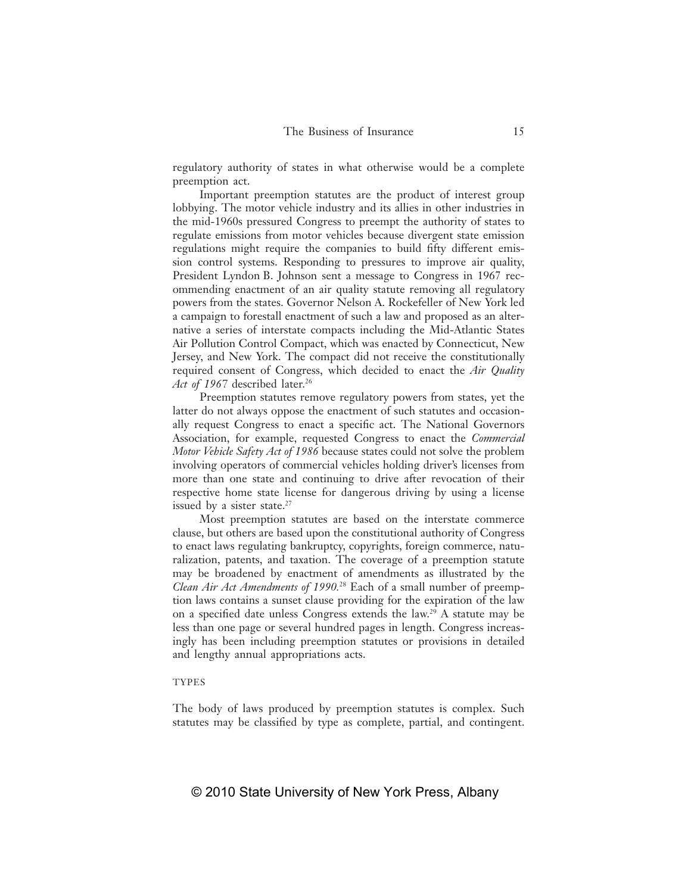regulatory authority of states in what otherwise would be a complete preemption act.

Important preemption statutes are the product of interest group lobbying. The motor vehicle industry and its allies in other industries in the mid-1960s pressured Congress to preempt the authority of states to regulate emissions from motor vehicles because divergent state emission regulations might require the companies to build fifty different emission control systems. Responding to pressures to improve air quality, President Lyndon B. Johnson sent a message to Congress in 1967 recommending enactment of an air quality statute removing all regulatory powers from the states. Governor Nelson A. Rockefeller of New York led a campaign to forestall enactment of such a law and proposed as an alternative a series of interstate compacts including the Mid-Atlantic States Air Pollution Control Compact, which was enacted by Connecticut, New Jersey, and New York. The compact did not receive the constitutionally required consent of Congress, which decided to enact the *Air Quality*  Act of 1967 described later.<sup>26</sup>

Preemption statutes remove regulatory powers from states, yet the latter do not always oppose the enactment of such statutes and occasionally request Congress to enact a specific act. The National Governors Association, for example, requested Congress to enact the *Commercial Motor Vehicle Safety Act of 1986* because states could not solve the problem involving operators of commercial vehicles holding driver's licenses from more than one state and continuing to drive after revocation of their respective home state license for dangerous driving by using a license issued by a sister state.<sup>27</sup>

Most preemption statutes are based on the interstate commerce clause, but others are based upon the constitutional authority of Congress to enact laws regulating bankruptcy, copyrights, foreign commerce, naturalization, patents, and taxation. The coverage of a preemption statute may be broadened by enactment of amendments as illustrated by the *Clean Air Act Amendments of 1990.*28 Each of a small number of preemption laws contains a sunset clause providing for the expiration of the law on a specified date unless Congress extends the law.<sup>29</sup> A statute may be less than one page or several hundred pages in length. Congress increasingly has been including preemption statutes or provisions in detailed and lengthy annual appropriations acts.

# TYPES

The body of laws produced by preemption statutes is complex. Such statutes may be classified by type as complete, partial, and contingent.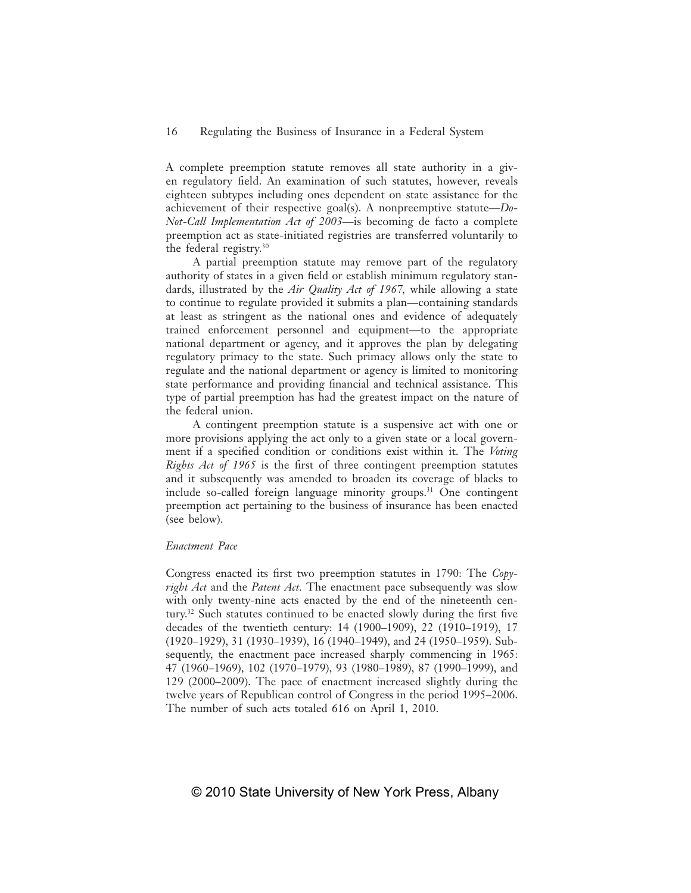A complete preemption statute removes all state authority in a given regulatory field. An examination of such statutes, however, reveals eighteen subtypes including ones dependent on state assistance for the achievement of their respective goal(s). A nonpreemptive statute—*Do-Not-Call Implementation Act of 2003*—is becoming de facto a complete preemption act as state-initiated registries are transferred voluntarily to the federal registry.30

A partial preemption statute may remove part of the regulatory authority of states in a given field or establish minimum regulatory standards, illustrated by the *Air Quality Act of 1967,* while allowing a state to continue to regulate provided it submits a plan—containing standards at least as stringent as the national ones and evidence of adequately trained enforcement personnel and equipment—to the appropriate national department or agency, and it approves the plan by delegating regulatory primacy to the state. Such primacy allows only the state to regulate and the national department or agency is limited to monitoring state performance and providing financial and technical assistance. This type of partial preemption has had the greatest impact on the nature of the federal union.

A contingent preemption statute is a suspensive act with one or more provisions applying the act only to a given state or a local government if a specified condition or conditions exist within it. The *Voting Rights Act of 1965* is the first of three contingent preemption statutes and it subsequently was amended to broaden its coverage of blacks to include so-called foreign language minority groups.31 One contingent preemption act pertaining to the business of insurance has been enacted (see below).

#### *Enactment Pace*

Congress enacted its first two preemption statutes in 1790: The *Copyright Act* and the *Patent Act.* The enactment pace subsequently was slow with only twenty-nine acts enacted by the end of the nineteenth century.<sup>32</sup> Such statutes continued to be enacted slowly during the first five decades of the twentieth century: 14 (1900–1909), 22 (1910–1919), 17 (1920–1929), 31 (1930–1939), 16 (1940–1949), and 24 (1950–1959). Subsequently, the enactment pace increased sharply commencing in 1965: 47 (1960–1969), 102 (1970–1979), 93 (1980–1989), 87 (1990–1999), and 129 (2000–2009). The pace of enactment increased slightly during the twelve years of Republican control of Congress in the period 1995–2006. The number of such acts totaled 616 on April 1, 2010.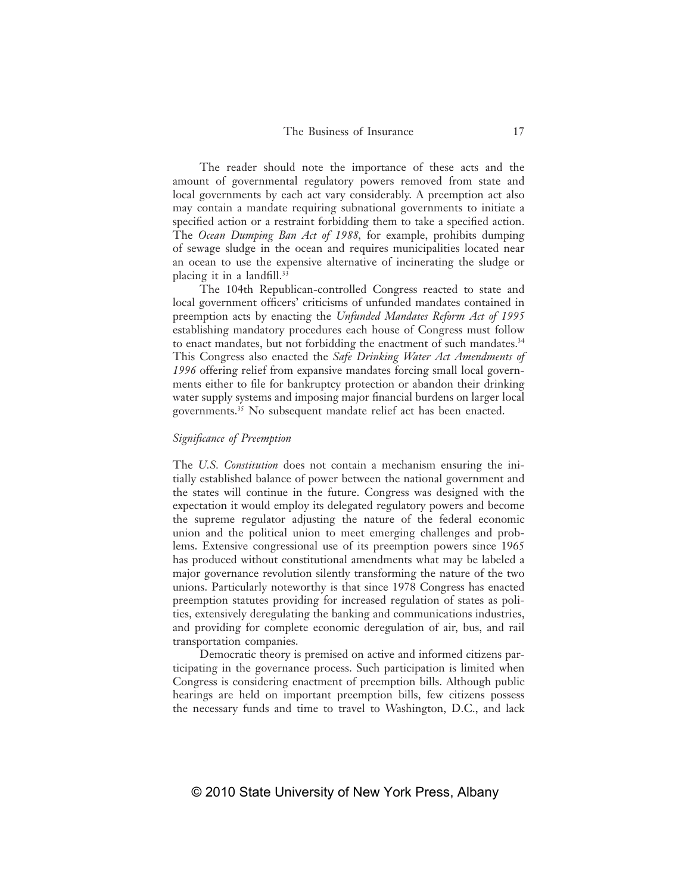The reader should note the importance of these acts and the amount of governmental regulatory powers removed from state and local governments by each act vary considerably. A preemption act also may contain a mandate requiring subnational governments to initiate a specified action or a restraint forbidding them to take a specified action. The *Ocean Dumping Ban Act of 1988,* for example, prohibits dumping of sewage sludge in the ocean and requires municipalities located near an ocean to use the expensive alternative of incinerating the sludge or placing it in a landfill. $33$ 

The 104th Republican-controlled Congress reacted to state and local government officers' criticisms of unfunded mandates contained in preemption acts by enacting the *Unfunded Mandates Reform Act of 1995* establishing mandatory procedures each house of Congress must follow to enact mandates, but not forbidding the enactment of such mandates.<sup>34</sup> This Congress also enacted the *Safe Drinking Water Act Amendments of 1996* offering relief from expansive mandates forcing small local governments either to file for bankruptcy protection or abandon their drinking water supply systems and imposing major financial burdens on larger local governments.35 No subsequent mandate relief act has been enacted.

# *Signifi cance of Preemption*

The *U.S. Constitution* does not contain a mechanism ensuring the initially established balance of power between the national government and the states will continue in the future. Congress was designed with the expectation it would employ its delegated regulatory powers and become the supreme regulator adjusting the nature of the federal economic union and the political union to meet emerging challenges and problems. Extensive congressional use of its preemption powers since 1965 has produced without constitutional amendments what may be labeled a major governance revolution silently transforming the nature of the two unions. Particularly noteworthy is that since 1978 Congress has enacted preemption statutes providing for increased regulation of states as polities, extensively deregulating the banking and communications industries, and providing for complete economic deregulation of air, bus, and rail transportation companies.

Democratic theory is premised on active and informed citizens participating in the governance process. Such participation is limited when Congress is considering enactment of preemption bills. Although public hearings are held on important preemption bills, few citizens possess the necessary funds and time to travel to Washington, D.C., and lack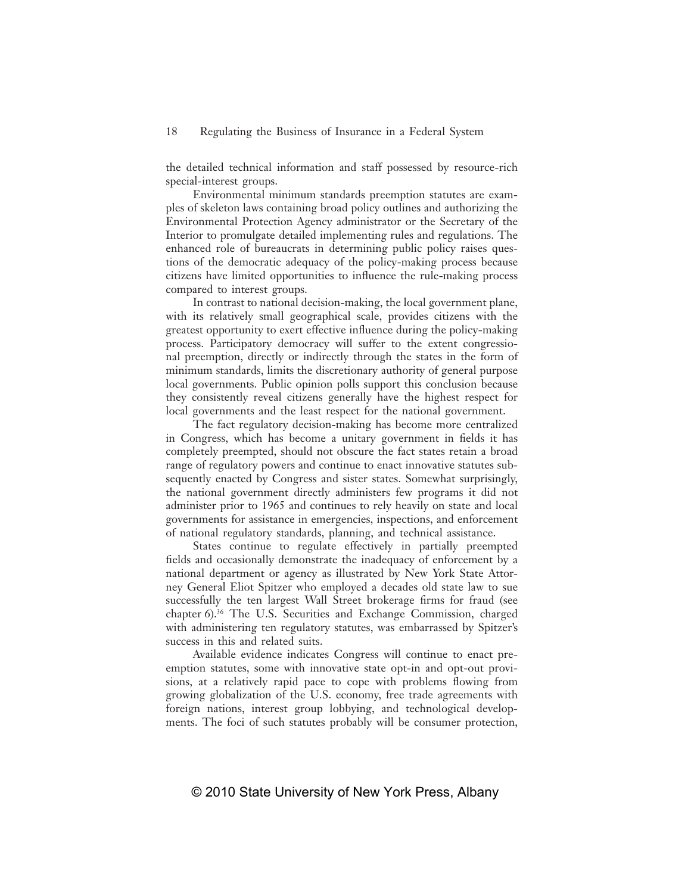the detailed technical information and staff possessed by resource-rich special-interest groups.

Environmental minimum standards preemption statutes are examples of skeleton laws containing broad policy outlines and authorizing the Environmental Protection Agency administrator or the Secretary of the Interior to promulgate detailed implementing rules and regulations. The enhanced role of bureaucrats in determining public policy raises questions of the democratic adequacy of the policy-making process because citizens have limited opportunities to influence the rule-making process compared to interest groups.

In contrast to national decision-making, the local government plane, with its relatively small geographical scale, provides citizens with the greatest opportunity to exert effective influence during the policy-making process. Participatory democracy will suffer to the extent congressional preemption, directly or indirectly through the states in the form of minimum standards, limits the discretionary authority of general purpose local governments. Public opinion polls support this conclusion because they consistently reveal citizens generally have the highest respect for local governments and the least respect for the national government.

The fact regulatory decision-making has become more centralized in Congress, which has become a unitary government in fields it has completely preempted, should not obscure the fact states retain a broad range of regulatory powers and continue to enact innovative statutes subsequently enacted by Congress and sister states. Somewhat surprisingly, the national government directly administers few programs it did not administer prior to 1965 and continues to rely heavily on state and local governments for assistance in emergencies, inspections, and enforcement of national regulatory standards, planning, and technical assistance.

States continue to regulate effectively in partially preempted fields and occasionally demonstrate the inadequacy of enforcement by a national department or agency as illustrated by New York State Attorney General Eliot Spitzer who employed a decades old state law to sue successfully the ten largest Wall Street brokerage firms for fraud (see chapter 6).<sup>36</sup> The U.S. Securities and Exchange Commission, charged with administering ten regulatory statutes, was embarrassed by Spitzer's success in this and related suits.

Available evidence indicates Congress will continue to enact preemption statutes, some with innovative state opt-in and opt-out provisions, at a relatively rapid pace to cope with problems flowing from growing globalization of the U.S. economy, free trade agreements with foreign nations, interest group lobbying, and technological developments. The foci of such statutes probably will be consumer protection,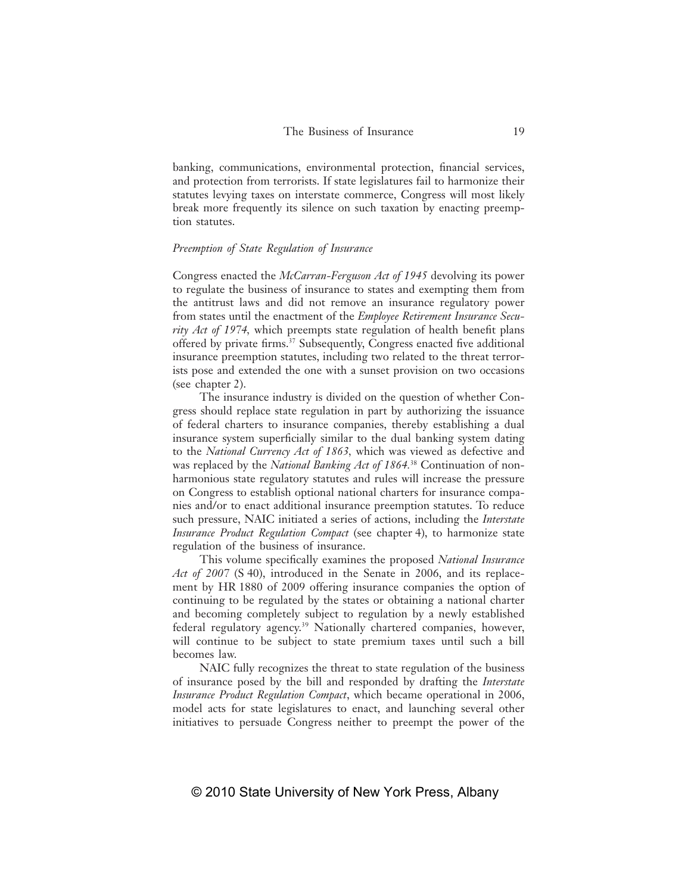banking, communications, environmental protection, financial services, and protection from terrorists. If state legislatures fail to harmonize their statutes levying taxes on interstate commerce, Congress will most likely break more frequently its silence on such taxation by enacting preemption statutes.

# *Preemption of State Regulation of Insurance*

Congress enacted the *McCarran-Ferguson Act of 1945* devolving its power to regulate the business of insurance to states and exempting them from the antitrust laws and did not remove an insurance regulatory power from states until the enactment of the *Employee Retirement Insurance Security Act of 1974*, which preempts state regulation of health benefit plans offered by private firms.<sup>37</sup> Subsequently, Congress enacted five additional insurance preemption statutes, including two related to the threat terrorists pose and extended the one with a sunset provision on two occasions (see chapter 2).

The insurance industry is divided on the question of whether Congress should replace state regulation in part by authorizing the issuance of federal charters to insurance companies, thereby establishing a dual insurance system superficially similar to the dual banking system dating to the *National Currency Act of 1863,* which was viewed as defective and was replaced by the *National Banking Act of 1864.*38 Continuation of nonharmonious state regulatory statutes and rules will increase the pressure on Congress to establish optional national charters for insurance companies and/or to enact additional insurance preemption statutes. To reduce such pressure, NAIC initiated a series of actions, including the *Interstate Insurance Product Regulation Compact* (see chapter 4), to harmonize state regulation of the business of insurance.

This volume specifically examines the proposed *National Insurance Act of 2007* (S 40), introduced in the Senate in 2006, and its replacement by HR 1880 of 2009 offering insurance companies the option of continuing to be regulated by the states or obtaining a national charter and becoming completely subject to regulation by a newly established federal regulatory agency.39 Nationally chartered companies, however, will continue to be subject to state premium taxes until such a bill becomes law.

NAIC fully recognizes the threat to state regulation of the business of insurance posed by the bill and responded by drafting the *Interstate Insurance Product Regulation Compact*, which became operational in 2006, model acts for state legislatures to enact, and launching several other initiatives to persuade Congress neither to preempt the power of the